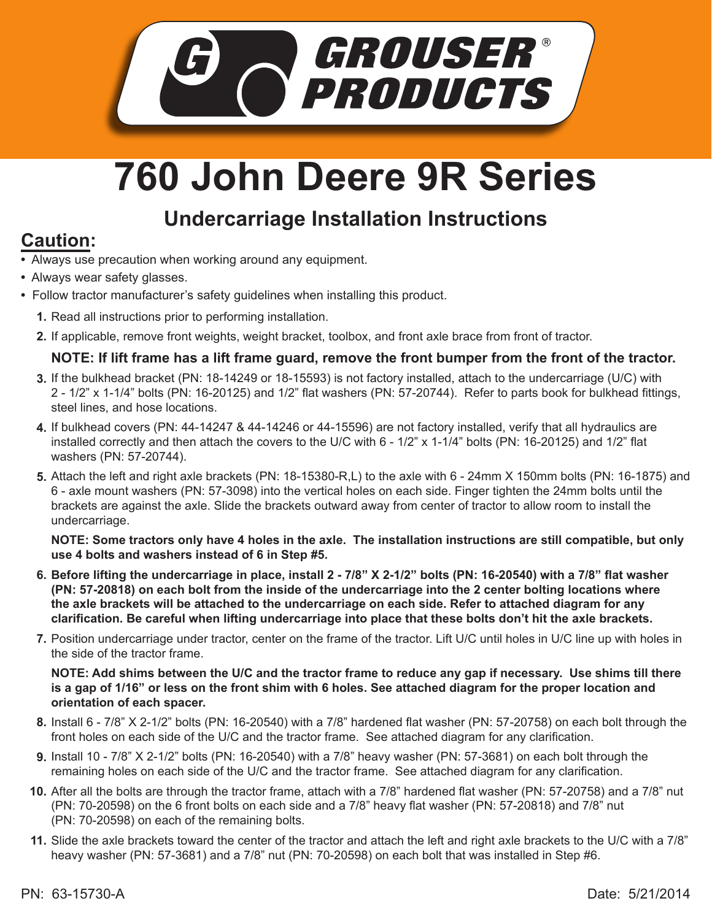

# **760 John Deere 9R Series**

## **Undercarriage Installation Instructions**

## **Caution:**

- Always use precaution when working around any equipment.
- Always wear safety glasses.
- Follow tractor manufacturer's safety guidelines when installing this product.
	- 1. Read all instructions prior to performing installation.
	- If applicable, remove front weights, weight bracket, toolbox, and front axle brace from front of tractor. **2.**

### **NOTE: If lift frame has a lift frame guard, remove the front bumper from the front of the tractor.**

- If the bulkhead bracket (PN: 18-14249 or 18-15593) is not factory installed, attach to the undercarriage (U/C) with **3.** 2 - 1/2" x 1-1/4" bolts (PN: 16-20125) and 1/2" flat washers (PN: 57-20744). Refer to parts book for bulkhead fittings, steel lines, and hose locations.
- If bulkhead covers (PN: 44-14247 & 44-14246 or 44-15596) are not factory installed, verify that all hydraulics are **4.** installed correctly and then attach the covers to the U/C with 6 - 1/2" x 1-1/4" bolts (PN: 16-20125) and 1/2" flat washers (PN: 57-20744).
- **5.** Attach the left and right axle brackets (PN: 18-15380-R,L) to the axle with 6 24mm X 150mm bolts (PN: 16-1875) and 6 - axle mount washers (PN: 57-3098) into the vertical holes on each side. Finger tighten the 24mm bolts until the brackets are against the axle. Slide the brackets outward away from center of tractor to allow room to install the undercarriage.

**NOTE: Some tractors only have 4 holes in the axle. The installation instructions are still compatible, but only use 4 bolts and washers instead of 6 in Step #5.**

- **Before lifting the undercarriage in place, install 2 7/8" X 2-1/2" bolts (PN: 16-20540) with a 7/8" flat washer 6. (PN: 57-20818) on each bolt from the inside of the undercarriage into the 2 center bolting locations where the axle brackets will be attached to the undercarriage on each side. Refer to attached diagram for any clarification. Be careful when lifting undercarriage into place that these bolts don't hit the axle brackets.**
- Position undercarriage under tractor, center on the frame of the tractor. Lift U/C until holes in U/C line up with holes in **7.** the side of the tractor frame.

**NOTE: Add shims between the U/C and the tractor frame to reduce any gap if necessary. Use shims till there is a gap of 1/16" or less on the front shim with 6 holes. See attached diagram for the proper location and orientation of each spacer.**

- Install 6 7/8" X 2-1/2" bolts (PN: 16-20540) with a 7/8" hardened flat washer (PN: 57-20758) on each bolt through the **8.** front holes on each side of the U/C and the tractor frame. See attached diagram for any clarification.
- Install 10 7/8" X 2-1/2" bolts (PN: 16-20540) with a 7/8" heavy washer (PN: 57-3681) on each bolt through the **9.** remaining holes on each side of the U/C and the tractor frame. See attached diagram for any clarification.
- **10.** After all the bolts are through the tractor frame, attach with a 7/8" hardened flat washer (PN: 57-20758) and a 7/8" nut (PN: 70-20598) on the 6 front bolts on each side and a 7/8" heavy flat washer (PN: 57-20818) and 7/8" nut (PN: 70-20598) on each of the remaining bolts.
- Slide the axle brackets toward the center of the tractor and attach the left and right axle brackets to the U/C with a 7/8" **11.** heavy washer (PN: 57-3681) and a 7/8" nut (PN: 70-20598) on each bolt that was installed in Step #6.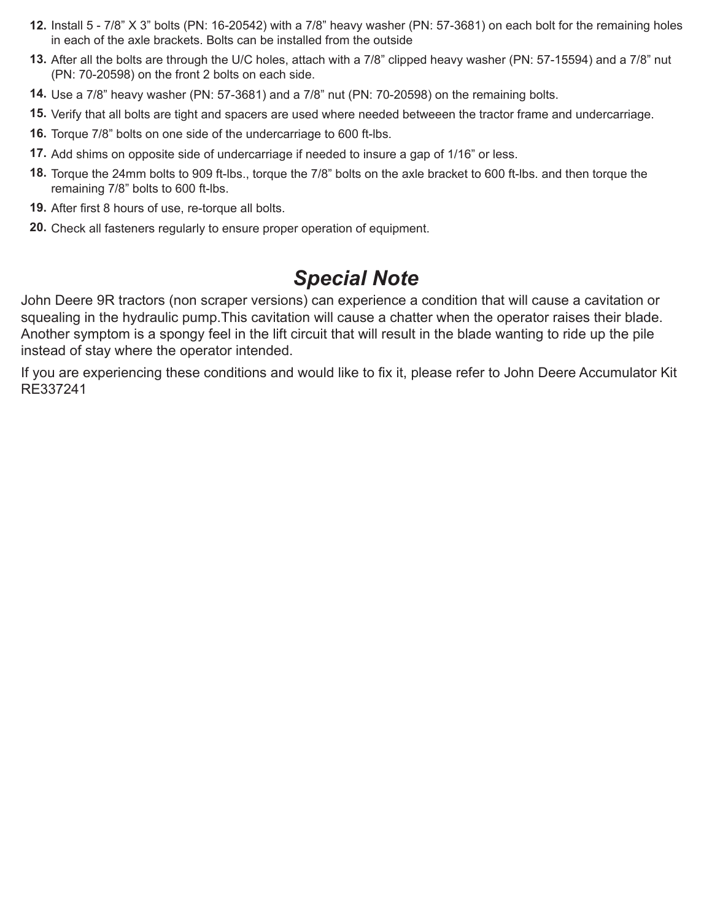- **12.** Install 5 7/8" X 3" bolts (PN: 16-20542) with a 7/8" heavy washer (PN: 57-3681) on each bolt for the remaining holes in each of the axle brackets. Bolts can be installed from the outside
- After all the bolts are through the U/C holes, attach with a 7/8" clipped heavy washer (PN: 57-15594) and a 7/8" nut **13.** (PN: 70-20598) on the front 2 bolts on each side.
- Use a 7/8" heavy washer (PN: 57-3681) and a 7/8" nut (PN: 70-20598) on the remaining bolts. **14.**
- 15. Verify that all bolts are tight and spacers are used where needed betweeen the tractor frame and undercarriage.
- **16.** Torque 7/8" bolts on one side of the undercarriage to 600 ft-lbs.
- Add shims on opposite side of undercarriage if needed to insure a gap of 1/16" or less. **17.**
- Torque the 24mm bolts to 909 ft-lbs., torque the 7/8" bolts on the axle bracket to 600 ft-lbs. and then torque the **18.** remaining 7/8" bolts to 600 ft-lbs.
- After first 8 hours of use, re-torque all bolts. **19.**
- 20. Check all fasteners regularly to ensure proper operation of equipment.

## *Special Note*

John Deere 9R tractors (non scraper versions) can experience a condition that will cause a cavitation or squealing in the hydraulic pump.This cavitation will cause a chatter when the operator raises their blade. Another symptom is a spongy feel in the lift circuit that will result in the blade wanting to ride up the pile instead of stay where the operator intended.

If you are experiencing these conditions and would like to fix it, please refer to John Deere Accumulator Kit RE337241